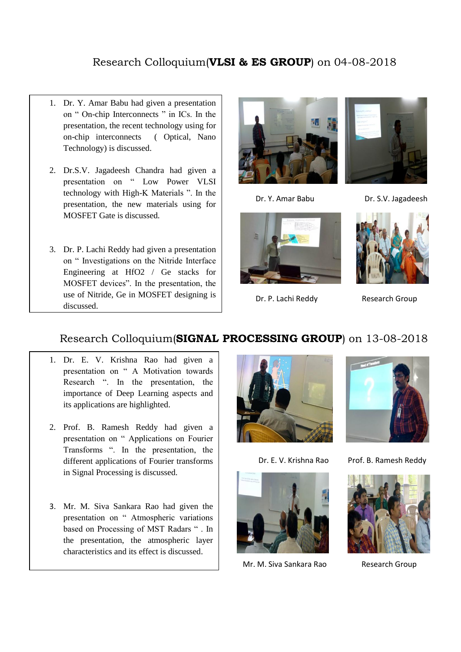## Research Colloquium(**VLSI & ES GROUP**) on 04-08-2018

- 1. Dr. Y. Amar Babu had given a presentation on " On-chip Interconnects " in ICs. In the presentation, the recent technology using for on-chip interconnects ( Optical, Nano Technology) is discussed.
- 2. Dr.S.V. Jagadeesh Chandra had given a presentation on " Low Power VLSI technology with High-K Materials ". In the presentation, the new materials using for MOSFET Gate is discussed.
- 3. Dr. P. Lachi Reddy had given a presentation on " Investigations on the Nitride Interface Engineering at HfO2 / Ge stacks for MOSFET devices". In the presentation, the use of Nitride, Ge in MOSFET designing is discussed.





Dr. Y. Amar Babu Dr. S.V. Jagadeesh



Dr. P. Lachi Reddy Research Group



## Research Colloquium(**SIGNAL PROCESSING GROUP**) on 13-08-2018

- 1. Dr. E. V. Krishna Rao had given a presentation on " A Motivation towards Research ". In the presentation, the importance of Deep Learning aspects and its applications are highlighted.
- 2. Prof. B. Ramesh Reddy had given a presentation on " Applications on Fourier Transforms ". In the presentation, the different applications of Fourier transforms in Signal Processing is discussed.
- 3. Mr. M. Siva Sankara Rao had given the presentation on " Atmospheric variations based on Processing of MST Radars " . In the presentation, the atmospheric layer characteristics and its effect is discussed.







Mr. M. Siya Sankara Rao Research Group

Dr. E. V. Krishna Rao Prof. B. Ramesh Reddy